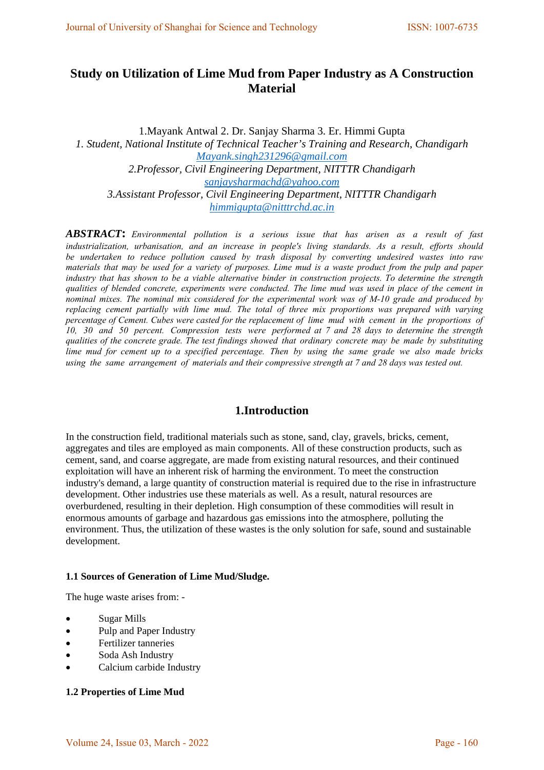# **Study on Utilization of Lime Mud from Paper Industry as A Construction Material**

1.Mayank Antwal 2. Dr. Sanjay Sharma 3. Er. Himmi Gupta *1. Student, National Institute of Technical Teacher's Training and Research, Chandigarh [Mayank.singh231296@gmail.com](mailto:Mayank.singh231296@gmail.com) 2.Professor, Civil Engineering Department, NITTTR Chandigarh [sanjaysharmachd@yahoo.com](mailto:sanjaysharmachd@yahoo.com) 3.Assistant Professor, Civil Engineering Department, NITTTR Chandigarh [himmigupta@nitttrchd.ac.in](mailto:himmigupta@nitttrchd.ac.in)*

*ABSTRACT***:** *Environmental pollution is a serious issue that has arisen as a result of fast industrialization, urbanisation, and an increase in people's living standards. As a result, efforts should be undertaken to reduce pollution caused by trash disposal by converting undesired wastes into raw materials that may be used for a variety of purposes. Lime mud is a waste product from the pulp and paper industry that has shown to be a viable alternative binder in construction projects. To determine the strength qualities of blended concrete, experiments were conducted. The lime mud was used in place of the cement in nominal mixes. The nominal mix considered for the experimental work was of M-10 grade and produced by replacing cement partially with lime mud. The total of three mix proportions was prepared with varying percentage of Cement. Cubes were casted for the replacement of lime mud with cement in the proportions of 10, 30 and 50 percent. Compression tests were performed at 7 and 28 days to determine the strength qualities of the concrete grade. The test findings showed that ordinary concrete may be made by substituting lime mud for cement up to a specified percentage. Then by using the same grade we also made bricks using the same arrangement of materials and their compressive strength at 7 and 28 days was tested out.*

# **1.Introduction**

In the construction field, traditional materials such as stone, sand, clay, gravels, bricks, cement, aggregates and tiles are employed as main components. All of these construction products, such as cement, sand, and coarse aggregate, are made from existing natural resources, and their continued exploitation will have an inherent risk of harming the environment. To meet the construction industry's demand, a large quantity of construction material is required due to the rise in infrastructure development. Other industries use these materials as well. As a result, natural resources are overburdened, resulting in their depletion. High consumption of these commodities will result in enormous amounts of garbage and hazardous gas emissions into the atmosphere, polluting the environment. Thus, the utilization of these wastes is the only solution for safe, sound and sustainable development.

## **1.1 Sources of Generation of Lime Mud/Sludge.**

The huge waste arises from: -

- Sugar Mills
- Pulp and Paper Industry
- Fertilizer tanneries
- Soda Ash Industry
- Calcium carbide Industry

# **1.2 Properties of Lime Mud**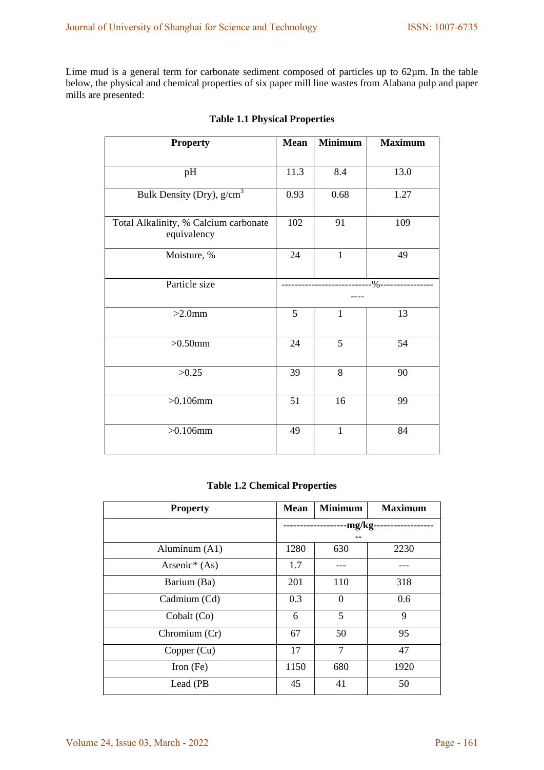Lime mud is a general term for carbonate sediment composed of particles up to 62µm. In the table below, the physical and chemical properties of six paper mill line wastes from Alabana pulp and paper mills are presented:

| <b>Property</b>                                      | <b>Mean</b> | <b>Minimum</b> | <b>Maximum</b>        |
|------------------------------------------------------|-------------|----------------|-----------------------|
|                                                      |             |                |                       |
| pH                                                   | 11.3        | 8.4            | 13.0                  |
| Bulk Density (Dry), $g/cm3$                          | 0.93        | 0.68           | 1.27                  |
| Total Alkalinity, % Calcium carbonate<br>equivalency | 102         | 91             | 109                   |
| Moisture, %                                          | 24          | $\mathbf{1}$   | 49                    |
| Particle size                                        |             |                | ----%---------------- |
| $>2.0$ mm                                            | 5           | $\mathbf{1}$   | 13                    |
| $>0.50$ mm                                           | 24          | 5              | 54                    |
| >0.25                                                | 39          | 8              | 90                    |
| $>0.106$ mm                                          | 51          | 16             | 99                    |
| $>0.106$ mm                                          | 49          | $\mathbf{1}$   | 84                    |

# **Table 1.1 Physical Properties**

# **Table 1.2 Chemical Properties**

| <b>Property</b> | <b>Mean</b> | <b>Minimum</b> | <b>Maximum</b> |
|-----------------|-------------|----------------|----------------|
|                 |             | -mg/kg·        |                |
|                 |             |                |                |
| Aluminum (A1)   | 1280        | 630            | 2230           |
| Arsenic* (As)   | 1.7         |                |                |
| Barium (Ba)     | 201         | 110            | 318            |
| Cadmium (Cd)    | 0.3         | $\theta$       | 0.6            |
| Cobalt (Co)     | 6           | 5              | 9              |
| Chromium (Cr)   | 67          | 50             | 95             |
| Copper (Cu)     | 17          | 7              | 47             |
| Iron $(Fe)$     | 1150        | 680            | 1920           |
| Lead (PB)       | 45          | 41             | 50             |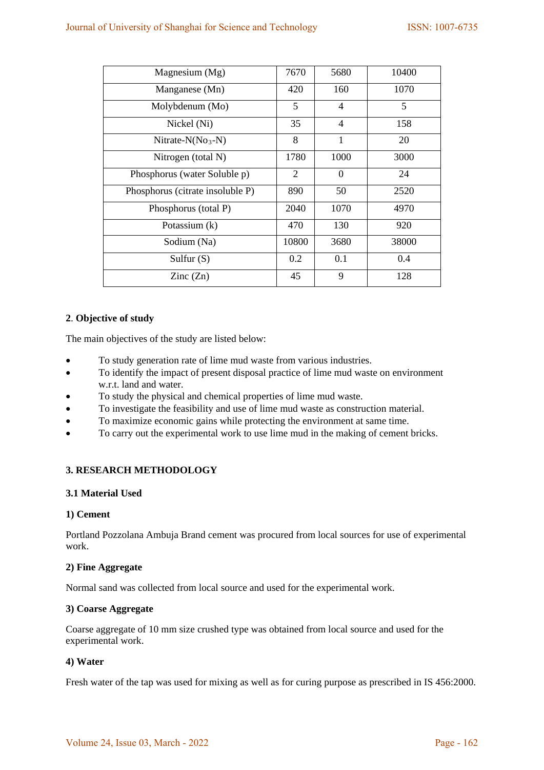| Magnesium (Mg)                   | 7670           | 5680           | 10400 |
|----------------------------------|----------------|----------------|-------|
| Manganese (Mn)                   | 420            | 160            | 1070  |
| Molybdenum (Mo)                  | 5              | $\overline{4}$ | 5     |
| Nickel (Ni)                      | 35             | $\overline{4}$ | 158   |
| Nitrate- $N(No_3-N)$             | 8              | $\mathbf{1}$   | 20    |
| Nitrogen (total N)               | 1780           | 1000           | 3000  |
| Phosphorus (water Soluble p)     | $\overline{2}$ | $\theta$       | 24    |
| Phosphorus (citrate insoluble P) | 890            | 50             | 2520  |
| Phosphorus (total P)             | 2040           | 1070           | 4970  |
| Potassium (k)                    | 470            | 130            | 920   |
| Sodium (Na)                      | 10800          | 3680           | 38000 |
| Sulfur $(S)$                     | 0.2            | 0.1            | 0.4   |
| $\text{Zinc}(\text{Zn})$         | 45             | 9              | 128   |

# **2**. **Objective of study**

The main objectives of the study are listed below:

- To study generation rate of lime mud waste from various industries.
- To identify the impact of present disposal practice of lime mud waste on environment w.r.t. land and water.
- To study the physical and chemical properties of lime mud waste.
- To investigate the feasibility and use of lime mud waste as construction material.
- To maximize economic gains while protecting the environment at same time.
- To carry out the experimental work to use lime mud in the making of cement bricks.

# **3. RESEARCH METHODOLOGY**

## **3.1 Material Used**

## **1) Cement**

Portland Pozzolana Ambuja Brand cement was procured from local sources for use of experimental work.

## **2) Fine Aggregate**

Normal sand was collected from local source and used for the experimental work.

## **3) Coarse Aggregate**

Coarse aggregate of 10 mm size crushed type was obtained from local source and used for the experimental work.

## **4) Water**

Fresh water of the tap was used for mixing as well as for curing purpose as prescribed in IS 456:2000.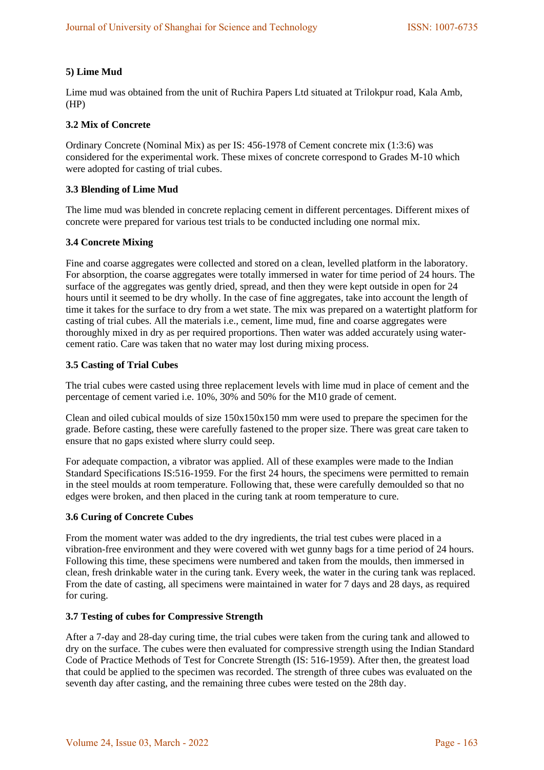# **5) Lime Mud**

Lime mud was obtained from the unit of Ruchira Papers Ltd situated at Trilokpur road, Kala Amb, (HP)

## **3.2 Mix of Concrete**

Ordinary Concrete (Nominal Mix) as per IS: 456-1978 of Cement concrete mix (1:3:6) was considered for the experimental work. These mixes of concrete correspond to Grades M-10 which were adopted for casting of trial cubes.

## **3.3 Blending of Lime Mud**

The lime mud was blended in concrete replacing cement in different percentages. Different mixes of concrete were prepared for various test trials to be conducted including one normal mix.

# **3.4 Concrete Mixing**

Fine and coarse aggregates were collected and stored on a clean, levelled platform in the laboratory. For absorption, the coarse aggregates were totally immersed in water for time period of 24 hours. The surface of the aggregates was gently dried, spread, and then they were kept outside in open for 24 hours until it seemed to be dry wholly. In the case of fine aggregates, take into account the length of time it takes for the surface to dry from a wet state. The mix was prepared on a watertight platform for casting of trial cubes. All the materials i.e., cement, lime mud, fine and coarse aggregates were thoroughly mixed in dry as per required proportions. Then water was added accurately using watercement ratio. Care was taken that no water may lost during mixing process.

## **3.5 Casting of Trial Cubes**

The trial cubes were casted using three replacement levels with lime mud in place of cement and the percentage of cement varied i.e. 10%, 30% and 50% for the M10 grade of cement.

Clean and oiled cubical moulds of size 150x150x150 mm were used to prepare the specimen for the grade. Before casting, these were carefully fastened to the proper size. There was great care taken to ensure that no gaps existed where slurry could seep.

For adequate compaction, a vibrator was applied. All of these examples were made to the Indian Standard Specifications IS:516-1959. For the first 24 hours, the specimens were permitted to remain in the steel moulds at room temperature. Following that, these were carefully demoulded so that no edges were broken, and then placed in the curing tank at room temperature to cure.

## **3.6 Curing of Concrete Cubes**

From the moment water was added to the dry ingredients, the trial test cubes were placed in a vibration-free environment and they were covered with wet gunny bags for a time period of 24 hours. Following this time, these specimens were numbered and taken from the moulds, then immersed in clean, fresh drinkable water in the curing tank. Every week, the water in the curing tank was replaced. From the date of casting, all specimens were maintained in water for 7 days and 28 days, as required for curing.

## **3.7 Testing of cubes for Compressive Strength**

After a 7-day and 28-day curing time, the trial cubes were taken from the curing tank and allowed to dry on the surface. The cubes were then evaluated for compressive strength using the Indian Standard Code of Practice Methods of Test for Concrete Strength (IS: 516-1959). After then, the greatest load that could be applied to the specimen was recorded. The strength of three cubes was evaluated on the seventh day after casting, and the remaining three cubes were tested on the 28th day.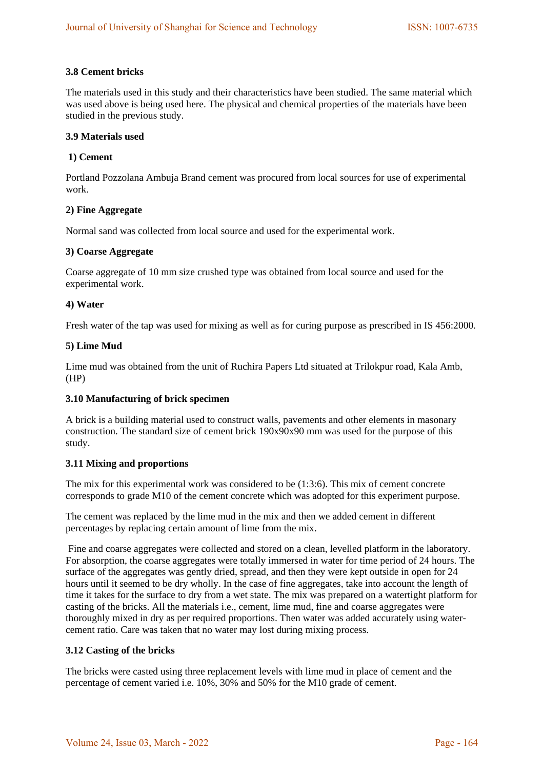# **3.8 Cement bricks**

The materials used in this study and their characteristics have been studied. The same material which was used above is being used here. The physical and chemical properties of the materials have been studied in the previous study.

## **3.9 Materials used**

# **1) Cement**

Portland Pozzolana Ambuja Brand cement was procured from local sources for use of experimental work.

## **2) Fine Aggregate**

Normal sand was collected from local source and used for the experimental work.

## **3) Coarse Aggregate**

Coarse aggregate of 10 mm size crushed type was obtained from local source and used for the experimental work.

## **4) Water**

Fresh water of the tap was used for mixing as well as for curing purpose as prescribed in IS 456:2000.

## **5) Lime Mud**

Lime mud was obtained from the unit of Ruchira Papers Ltd situated at Trilokpur road, Kala Amb, (HP)

## **3.10 Manufacturing of brick specimen**

A brick is a building material used to construct walls, pavements and other elements in masonary construction. The standard size of cement brick 190x90x90 mm was used for the purpose of this study.

## **3.11 Mixing and proportions**

The mix for this experimental work was considered to be (1:3:6). This mix of cement concrete corresponds to grade M10 of the cement concrete which was adopted for this experiment purpose.

The cement was replaced by the lime mud in the mix and then we added cement in different percentages by replacing certain amount of lime from the mix.

Fine and coarse aggregates were collected and stored on a clean, levelled platform in the laboratory. For absorption, the coarse aggregates were totally immersed in water for time period of 24 hours. The surface of the aggregates was gently dried, spread, and then they were kept outside in open for 24 hours until it seemed to be dry wholly. In the case of fine aggregates, take into account the length of time it takes for the surface to dry from a wet state. The mix was prepared on a watertight platform for casting of the bricks. All the materials i.e., cement, lime mud, fine and coarse aggregates were thoroughly mixed in dry as per required proportions. Then water was added accurately using watercement ratio. Care was taken that no water may lost during mixing process.

## **3.12 Casting of the bricks**

The bricks were casted using three replacement levels with lime mud in place of cement and the percentage of cement varied i.e. 10%, 30% and 50% for the M10 grade of cement.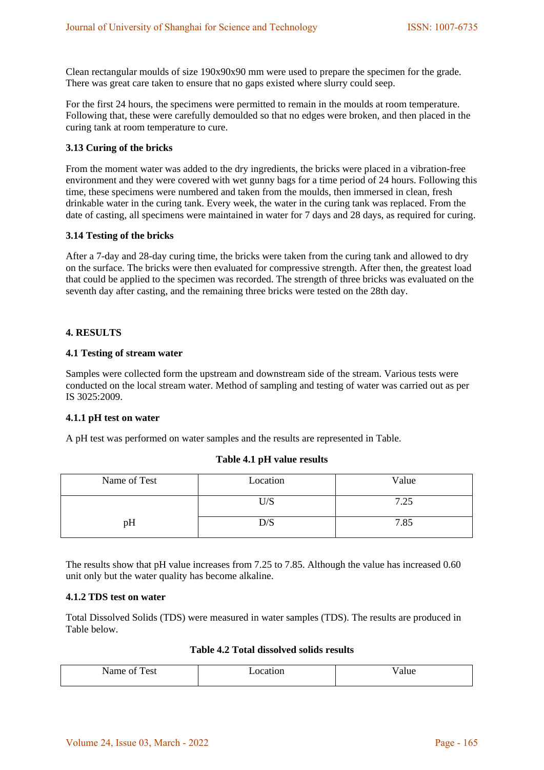Clean rectangular moulds of size 190x90x90 mm were used to prepare the specimen for the grade. There was great care taken to ensure that no gaps existed where slurry could seep.

For the first 24 hours, the specimens were permitted to remain in the moulds at room temperature. Following that, these were carefully demoulded so that no edges were broken, and then placed in the curing tank at room temperature to cure.

#### **3.13 Curing of the bricks**

From the moment water was added to the dry ingredients, the bricks were placed in a vibration-free environment and they were covered with wet gunny bags for a time period of 24 hours. Following this time, these specimens were numbered and taken from the moulds, then immersed in clean, fresh drinkable water in the curing tank. Every week, the water in the curing tank was replaced. From the date of casting, all specimens were maintained in water for 7 days and 28 days, as required for curing.

#### **3.14 Testing of the bricks**

After a 7-day and 28-day curing time, the bricks were taken from the curing tank and allowed to dry on the surface. The bricks were then evaluated for compressive strength. After then, the greatest load that could be applied to the specimen was recorded. The strength of three bricks was evaluated on the seventh day after casting, and the remaining three bricks were tested on the 28th day.

#### **4. RESULTS**

#### **4.1 Testing of stream water**

Samples were collected form the upstream and downstream side of the stream. Various tests were conducted on the local stream water. Method of sampling and testing of water was carried out as per IS 3025:2009.

## **4.1.1 pH test on water**

A pH test was performed on water samples and the results are represented in Table.

#### **Table 4.1 pH value results**

| Name of Test | Location | Value |
|--------------|----------|-------|
|              | U/S      | 7.25  |
| pН           | D/S      | 7.85  |

The results show that pH value increases from 7.25 to 7.85. Although the value has increased 0.60 unit only but the water quality has become alkaline.

#### **4.1.2 TDS test on water**

Total Dissolved Solids (TDS) were measured in water samples (TDS). The results are produced in Table below.

# **Table 4.2 Total dissolved solids results**

| est<br>.<br>ำ† | ~~<br>OI<br>. | alue |
|----------------|---------------|------|
|                |               |      |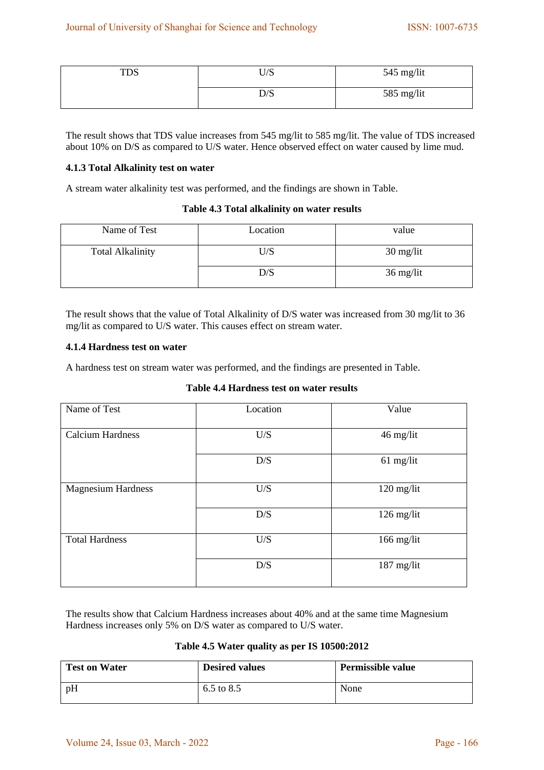| TDS | $T$ $T/G$<br>∪∌ວ | $545$ mg/lit |
|-----|------------------|--------------|
|     | D/S              | 585 mg/lit   |

The result shows that TDS value increases from 545 mg/lit to 585 mg/lit. The value of TDS increased about 10% on D/S as compared to U/S water. Hence observed effect on water caused by lime mud.

#### **4.1.3 Total Alkalinity test on water**

A stream water alkalinity test was performed, and the findings are shown in Table.

#### **Table 4.3 Total alkalinity on water results**

| Name of Test            | Location | value                             |
|-------------------------|----------|-----------------------------------|
| <b>Total Alkalinity</b> | U/S      | $30 \frac{\text{mg}}{\text{lit}}$ |
|                         | D/S      | 36 mg/lit                         |

The result shows that the value of Total Alkalinity of D/S water was increased from 30 mg/lit to 36 mg/lit as compared to U/S water. This causes effect on stream water.

#### **4.1.4 Hardness test on water**

A hardness test on stream water was performed, and the findings are presented in Table.

#### **Table 4.4 Hardness test on water results**

| Name of Test              | Location | Value        |
|---------------------------|----------|--------------|
| <b>Calcium Hardness</b>   | U/S      | 46 mg/lit    |
|                           | D/S      | $61$ mg/lit  |
| <b>Magnesium Hardness</b> | U/S      | 120 mg/lit   |
|                           | D/S      | $126$ mg/lit |
| <b>Total Hardness</b>     | U/S      | $166$ mg/lit |
|                           | D/S      | $187$ mg/lit |

The results show that Calcium Hardness increases about 40% and at the same time Magnesium Hardness increases only 5% on D/S water as compared to U/S water.

# **Table 4.5 Water quality as per IS 10500:2012**

| <b>Test on Water</b> | <b>Desired values</b> | <b>Permissible value</b> |
|----------------------|-----------------------|--------------------------|
| pH                   | 6.5 to 8.5            | None                     |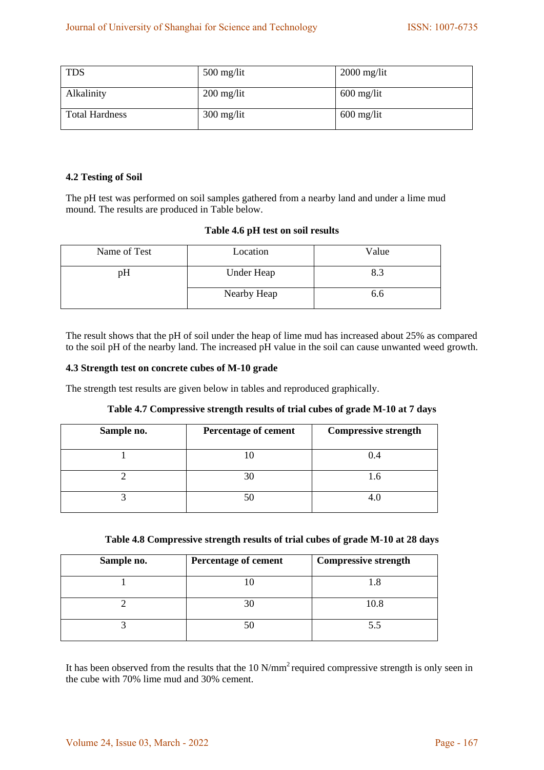| <b>TDS</b>            | $500$ mg/lit | $2000$ mg/lit |
|-----------------------|--------------|---------------|
| Alkalinity            | $200$ mg/lit | $600$ mg/lit  |
| <b>Total Hardness</b> | $300$ mg/lit | $600$ mg/lit  |

# **4.2 Testing of Soil**

The pH test was performed on soil samples gathered from a nearby land and under a lime mud mound. The results are produced in Table below.

## **Table 4.6 pH test on soil results**

| Name of Test | Location    | Value |
|--------------|-------------|-------|
| рH           | Under Heap  | 8.3   |
|              | Nearby Heap | 6.6   |

The result shows that the pH of soil under the heap of lime mud has increased about 25% as compared to the soil pH of the nearby land. The increased pH value in the soil can cause unwanted weed growth.

#### **4.3 Strength test on concrete cubes of M-10 grade**

The strength test results are given below in tables and reproduced graphically.

|  |  | Table 4.7 Compressive strength results of trial cubes of grade M-10 at 7 days |  |
|--|--|-------------------------------------------------------------------------------|--|
|--|--|-------------------------------------------------------------------------------|--|

| Sample no. | Percentage of cement | <b>Compressive strength</b> |
|------------|----------------------|-----------------------------|
|            |                      | 0.4                         |
|            |                      | 1.6                         |
|            |                      |                             |

| Table 4.8 Compressive strength results of trial cubes of grade M-10 at 28 days |  |  |  |
|--------------------------------------------------------------------------------|--|--|--|
|                                                                                |  |  |  |

| Sample no. | <b>Percentage of cement</b> | <b>Compressive strength</b> |
|------------|-----------------------------|-----------------------------|
|            |                             |                             |
|            |                             | 10.8                        |
|            |                             | 5.5                         |

It has been observed from the results that the 10 N/mm<sup>2</sup> required compressive strength is only seen in the cube with 70% lime mud and 30% cement.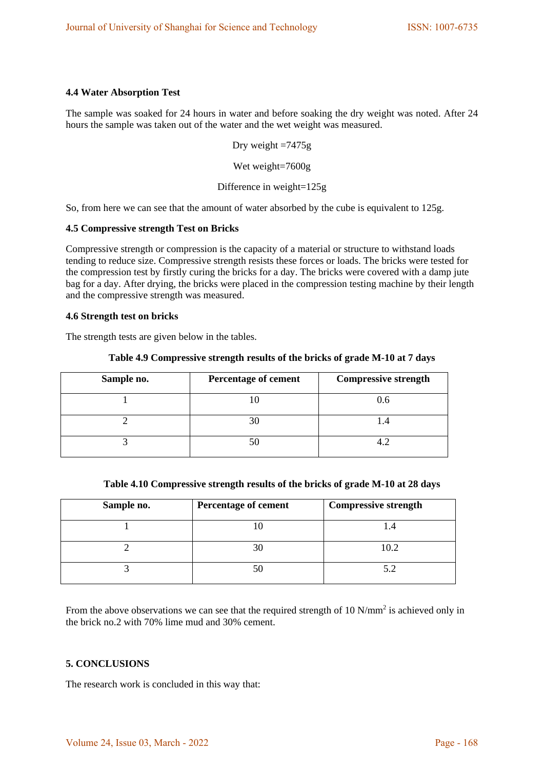## **4.4 Water Absorption Test**

The sample was soaked for 24 hours in water and before soaking the dry weight was noted. After 24 hours the sample was taken out of the water and the wet weight was measured.

Dry weight  $=7475g$ 

Wet weight=7600g

Difference in weight=125g

So, from here we can see that the amount of water absorbed by the cube is equivalent to 125g.

#### **4.5 Compressive strength Test on Bricks**

Compressive strength or compression is the capacity of a material or structure to withstand loads tending to reduce size. Compressive strength resists these forces or loads. The bricks were tested for the compression test by firstly curing the bricks for a day. The bricks were covered with a damp jute bag for a day. After drying, the bricks were placed in the compression testing machine by their length and the compressive strength was measured.

#### **4.6 Strength test on bricks**

The strength tests are given below in the tables.

|  | Table 4.9 Compressive strength results of the bricks of grade M-10 at 7 days |  |  |  |
|--|------------------------------------------------------------------------------|--|--|--|
|--|------------------------------------------------------------------------------|--|--|--|

| Sample no. | <b>Percentage of cement</b> | <b>Compressive strength</b> |
|------------|-----------------------------|-----------------------------|
|            |                             | 0.6                         |
|            |                             | I .4                        |
|            |                             |                             |

| Sample no. | <b>Percentage of cement</b> | <b>Compressive strength</b> |
|------------|-----------------------------|-----------------------------|
|            |                             |                             |
|            |                             | 10.2                        |
|            |                             | 5.2                         |

From the above observations we can see that the required strength of 10  $N/mm^2$  is achieved only in the brick no.2 with 70% lime mud and 30% cement.

# **5. CONCLUSIONS**

The research work is concluded in this way that: